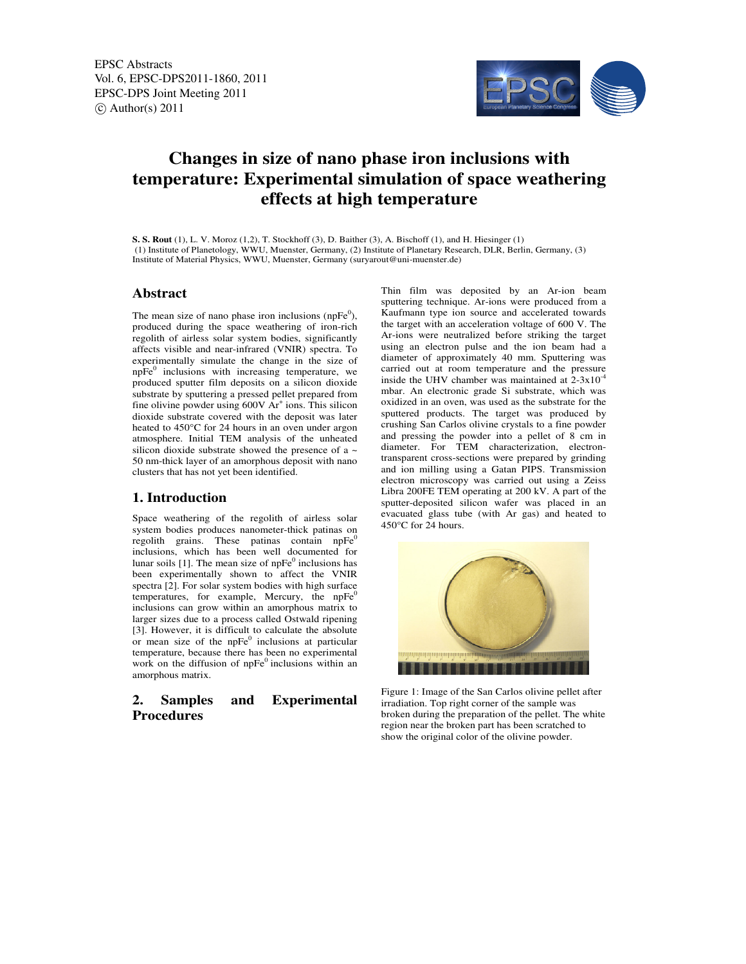EPSC Abstracts Vol. 6, EPSC-DPS2011-1860, 2011 EPSC-DPS Joint Meeting 2011  $\circ$  Author(s) 2011



# **Changes in size of nano phase iron inclusions with temperature: Experimental simulation of space weathering effects at high temperature**

**S. S. Rout** (1), L. V. Moroz (1,2), T. Stockhoff (3), D. Baither (3), A. Bischoff (1), and H. Hiesinger (1) (1) Institute of Planetology, WWU, Muenster, Germany, (2) Institute of Planetary Research, DLR, Berlin, Germany, (3) Institute of Material Physics, WWU, Muenster, Germany (suryarout@uni-muenster.de)

## **Abstract**

The mean size of nano phase iron inclusions (npFe $\rm^0$ ), produced during the space weathering of iron-rich regolith of airless solar system bodies, significantly affects visible and near-infrared (VNIR) spectra. To experimentally simulate the change in the size of  $n\bar{p}Fe^0$  inclusions with increasing temperature, we produced sputter film deposits on a silicon dioxide substrate by sputtering a pressed pellet prepared from fine olivine powder using  $600V$   $Ar^+$  ions. This silicon dioxide substrate covered with the deposit was later heated to 450°C for 24 hours in an oven under argon atmosphere. Initial TEM analysis of the unheated silicon dioxide substrate showed the presence of a ~ 50 nm-thick layer of an amorphous deposit with nano clusters that has not yet been identified.

#### **1. Introduction**

Space weathering of the regolith of airless solar system bodies produces nanometer-thick patinas on regolith grains. These patinas contain  $n p F e^{0}$ inclusions, which has been well documented for lunar soils [1]. The mean size of  $n pFe<sup>0</sup>$  inclusions has been experimentally shown to affect the VNIR spectra [2]. For solar system bodies with high surface temperatures, for example, Mercury, the  $n\bar{p}$ <sup>E-1</sup> inclusions can grow within an amorphous matrix to larger sizes due to a process called Ostwald ripening [3]. However, it is difficult to calculate the absolute or mean size of the npFe<sup>0</sup> inclusions at particular temperature, because there has been no experimental work on the diffusion of  $n pFe<sup>0</sup>$  inclusions within an amorphous matrix.

# **2. Samples and Experimental Procedures**

Thin film was deposited by an Ar-ion beam sputtering technique. Ar-ions were produced from a Kaufmann type ion source and accelerated towards the target with an acceleration voltage of 600 V. The Ar-ions were neutralized before striking the target using an electron pulse and the ion beam had a diameter of approximately 40 mm. Sputtering was carried out at room temperature and the pressure inside the UHV chamber was maintained at  $2-3x10^{-4}$ mbar. An electronic grade Si substrate, which was oxidized in an oven, was used as the substrate for the sputtered products. The target was produced by crushing San Carlos olivine crystals to a fine powder and pressing the powder into a pellet of 8 cm in diameter. For TEM characterization, electrontransparent cross-sections were prepared by grinding and ion milling using a Gatan PIPS. Transmission electron microscopy was carried out using a Zeiss Libra 200FE TEM operating at 200 kV. A part of the sputter-deposited silicon wafer was placed in an evacuated glass tube (with Ar gas) and heated to 450°C for 24 hours.



Figure 1: Image of the San Carlos olivine pellet after irradiation. Top right corner of the sample was broken during the preparation of the pellet. The white region near the broken part has been scratched to show the original color of the olivine powder.